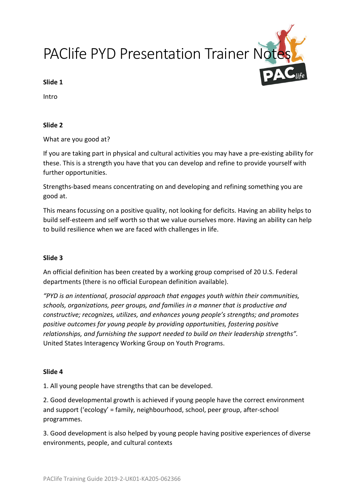PAClife PYD Presentation Trainer Note

#### **Slide 1**

Intro

### **Slide 2**

What are you good at?

If you are taking part in physical and cultural activities you may have a pre-existing ability for these. This is a strength you have that you can develop and refine to provide yourself with further opportunities.

Strengths-based means concentrating on and developing and refining something you are good at.

This means focussing on a positive quality, not looking for deficits. Having an ability helps to build self-esteem and self worth so that we value ourselves more. Having an ability can help to build resilience when we are faced with challenges in life.

# **Slide 3**

An official definition has been created by a working group comprised of 20 U.S. Federal departments (there is no official European definition available).

*"PYD is an intentional, prosocial approach that engages youth within their communities, schools, organizations, peer groups, and families in a manner that is productive and constructive; recognizes, utilizes, and enhances young people's strengths; and promotes positive outcomes for young people by providing opportunities, fostering positive relationships, and furnishing the support needed to build on their leadership strengths".*  United States Interagency Working Group on Youth Programs.

# **Slide 4**

1. All young people have strengths that can be developed.

2. Good developmental growth is achieved if young people have the correct environment and support ('ecology' = family, neighbourhood, school, peer group, after-school programmes.

3. Good development is also helped by young people having positive experiences of diverse environments, people, and cultural contexts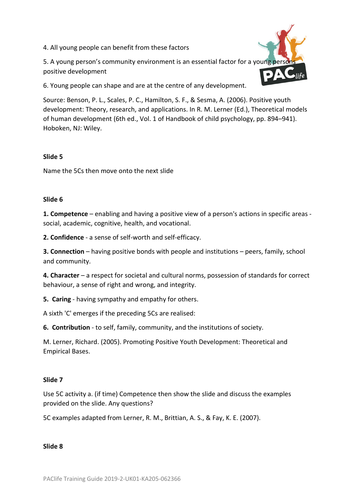4. All young people can benefit from these factors

5. A young person's community environment is an essential factor for a young pers positive development



6. Young people can shape and are at the centre of any development.

Source: Benson, P. L., Scales, P. C., Hamilton, S. F., & Sesma, A. (2006). Positive youth development: Theory, research, and applications. In R. M. Lerner (Ed.), Theoretical models of human development (6th ed., Vol. 1 of Handbook of child psychology, pp. 894–941). Hoboken, NJ: Wiley.

# **Slide 5**

Name the 5Cs then move onto the next slide

## **Slide 6**

**1. Competence** – enabling and having a positive view of a person's actions in specific areas social, academic, cognitive, health, and vocational.

**2. Confidence** - a sense of self-worth and self-efficacy.

**3. Connection** – having positive bonds with people and institutions – peers, family, school and community.

**4. Character** – a respect for societal and cultural norms, possession of standards for correct behaviour, a sense of right and wrong, and integrity.

**5. Caring** - having sympathy and empathy for others.

A sixth 'C' emerges if the preceding 5Cs are realised:

**6. Contribution** - to self, family, community, and the institutions of society.

M. Lerner, Richard. (2005). Promoting Positive Youth Development: Theoretical and Empirical Bases.

# **Slide 7**

Use 5C activity a. (if time) Competence then show the slide and discuss the examples provided on the slide. Any questions?

5C examples adapted from Lerner, R. M., Brittian, A. S., & Fay, K. E. (2007).

**Slide 8**